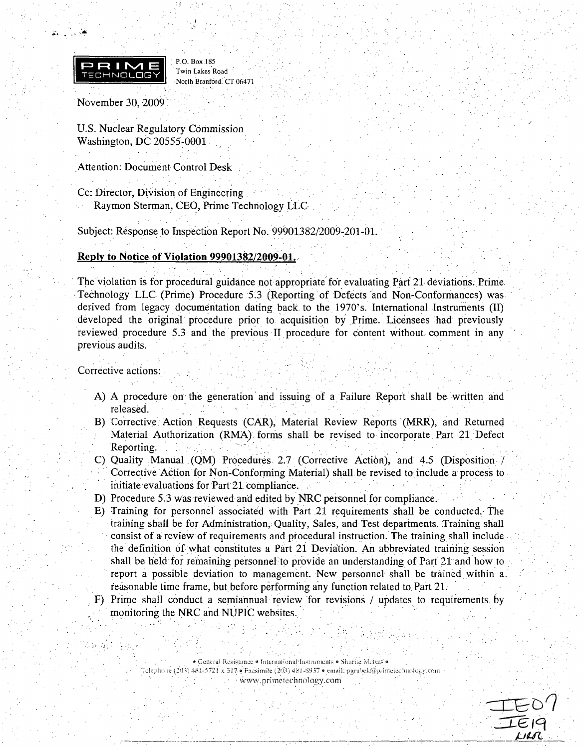

**.W, . . , ',#**

P.O. Box 185 Twin Lakes Road North Branford. CT 06471

November 30, 2009

U.S. Nuclear Regulatory Commissior Washington, DC 20555-0001

Attention: Document Control Desk

Cc: Director, Division of Engineering Raymon Sterman, CEO, Prime Technology LLC

Subject: Response to Inspection Report No. 99901382/2009-201-01.

#### **Reply to Notice of Violation 99901382/2009-01**.

The violation is for procedural guidance not appropriate for evaluating Part 21 deviations. Prime. Technology LLC (Pr ime) Procedure *5.3* (Reporting of Defects and Non-Conformances) was derived from legacy documentation dating back. to the 1970's. International Instruments (II) developed the original procedure prior to acquisition by Prime. Licensees had previously reviewed procedure 5.3 and the previous II procedure for content without, comment in any previous audits.

#### Corrective actions:

- A) A procedure on the generation and issuing of a Failure Report shall be written and released.
- B) Corrective Action Requests (CAR), Material Review Reports (MRR), and Returned incorporate: Authorization (RMA) forms shall be revised to incorporate Part 21 Defect Material Authorization (RMA) forms shall be revise Reporting.
- C) Quality Manual (QM) Procedures 2.7 (Corrective Action), and 4.5 (Disposition Corrective Ac tion for Non-Conforming Material) shall. be revised to include a process to initiate evaluations for Part 21 compliance.
- D) Procedure 5.3 was reviewed and edited by NRC personnel for compliance..
- E) Training for personnel associated with Part 21 requirements shall be conducted. The training shall be for Administration, Quality, Sales, and Test departments. Training shall consist of a review of requirements and procedural instruction. The training shall include the definition **Of** what constitutes a Part 21 Deviation. An abbreviated training session shall be held for remaining personnel to provide an understanding of Part 21 and how to report a possible deviation to management. New personnel shall be trained within a. reasonable time frame, but before performing any function related to Part 21.
- F) Prime shall c onduct a semiannual review for revisions / updates to requirements by monitoring the NRC and NUPIC websites.

Telephone (203) 481-5721 x 317 e Facsimile (203) 481-8937 e email: pgrabek@primetechnology.com

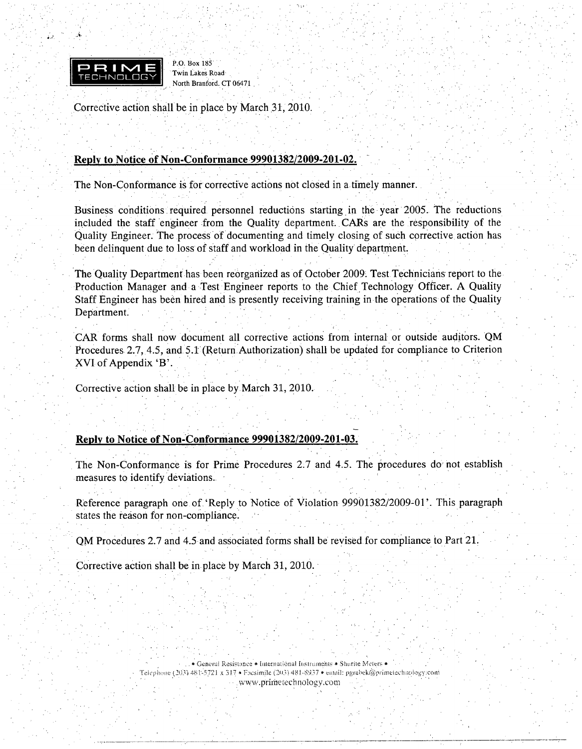

P.O. Box **185** Twin Lakes Road North Branford. CT 06471

Corrective action shall be in place by March **31,** 2010.

#### Reply to Notice of Non-Conformance 99901382/2009-201-02.

The Non-Conformance is for corrective actions not closed in a. timely manner.

Business conditions required personnel reductions starting in the year 2005. The reductions included the staff engineer from the Quality department.. CARs are the responsibility of the Quality Engineer. The process of documenting and timely closing of such corrective, action has been delinquent due to loss of staff and workload in the Quality department.

The Quality Department has been reorganized as of October 2009. Test Technicians report to the • Production Manager and a Test Engineer reports to the Chief Technology Officer. A Quality Staff Engineer has been hired and is presently receiving training in the operations of the Quality Department.

CAR forms shall now document all corrective actions from internal or outside auditors. QM Procedures 2.7, 4.5, and 5.1 (Return Authorization) shall be updated for compliance to Criterion XVI of Appendix 'B'.

Corrective action shall be in place by March 31, 2010.

#### Reply to Notice of Non-Conformance **99901382/2009-201-03.**

The Non-Conformance is for Prime Procedures 2.7 and 4.5. The procedures do' not establish measures to identify deviations.

Reference paragraph one of.'Reply to Notice of Violation 99901382/2009-01'. This paragraph states the reason for non-compliance.

OM Procedures 2.7 and 4.5 and associated forms shall be revised for compliance to Part 21.

Corrective action shall be in place by March 31, 2010.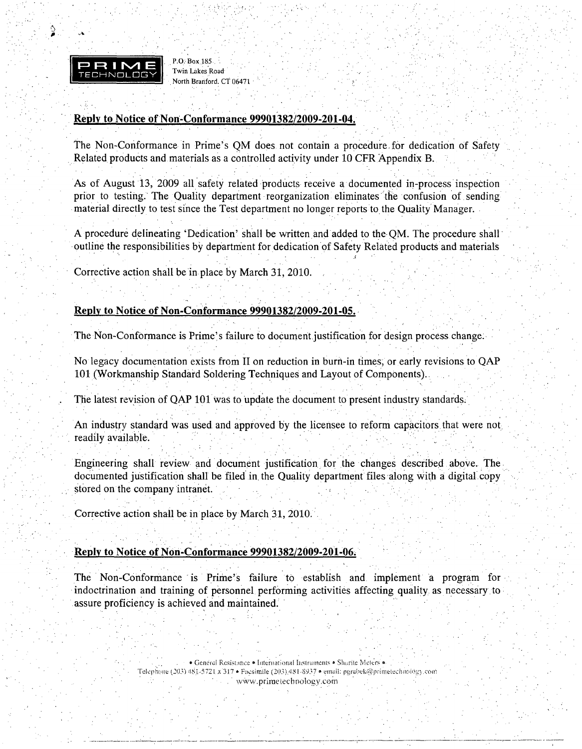

P.O. Box 185. Twin Lakes Road North Branford. CT 06471

#### Reply to Notice of Non-Conformance 99901382/2009-201-04.

The Non-Conformance in Prime's QM does not contain a procedure for dedication of Safety Related products and materials as a controlled activity under 10 CFR Appendix B.

As of August 13, 2009 all safety related products receive a documented in-process inspection prior to testing. The Quality department reorganization eliminates the confusion of sending material directly to test since the Test department no longer reports to the Quality Manager.

A procedure delineating 'Dedication' shall be written and added to the QM. The procedure shall outline the responsibilities by department for dedication of Safety Related products and materials

Corrective action shall be in place by March 31, 2010.

#### Reply to Notice of Non-Conformance 99901382/2009-201-05.

The Non-Conformance is Prime's failure to document justification for design process change.

No legacy documentation exists from II on reduction in burn-in times, or early revisions to QAP 101 (Workmanship Standard Soldering Techniques and Layout of Components).

The latest revision of QAP 101 was to update the document to present industry standards.

An industry standard was used and approved by the licensee to reform capacitors that were not readily available.

Engineering shall review and document justification for the changes described above. The documented justification shall be filed in the Quality department files along with a digital copy stored on the company intranet.

Corrective action shall be in place by March 31, 2010.

#### Reply to Notice of Non-Conformance 99901382/2009-201-06.

The Non-Conformance is Prime's failure to establish and implement a program for indoctrination and training of personnel performing activities affecting quality as necessary to assure proficiency is achieved and maintained.

> · Genéral Resistance · International Instruments · Shurite Meters · Telephone (203) 481-5721 x 317 · Facsimile (203) 481-8937 · email: pgrabek@primetechnology.com www.primetechnology.com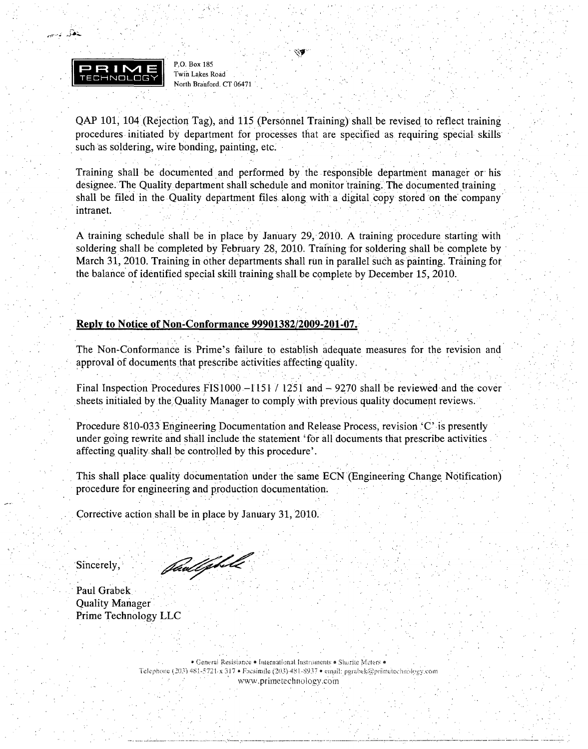

لتطل بإسيم

**P.O.** Box **185** Twin Lakes Road• North Branford. CT 06471

**QAP 101)** 104.(Rejection Tag), and **115** (Personnel Training) shall be revised to reflect training procedures. initiated **by** department for processes that are specified as requiring special skills such as soldering, wire bonding, painting, etc.

Training shall be documented and performed **by** the responsible department manager or' his designee. The Quality department shall schedule and monitor training. The documented training shall be filed in the Quality department files. along with a digital copy stored on the' company intranet.

A training schedule shall be in place by January **29,** 2010. A training procedure starting with soldering shall be completed by February 28, 2010. Training for soldering shall be complete by March 31, 2010. Training in other departments shall run in parallel such as painting. Training for the balance of identified special skill training shall. be complete by December 15, 2010.

#### Reply to Notice of Non-Conformance **99901382/2009-201-07.**

The Non-Conformance is Prime's failure to establish adequate measures for the revision and approval of documents that prescribe activities affecting quality.

Final Inspection Procedures FIS1000  $-1151 / 1251$  and  $-9270$  shall be reviewed and the cover sheets initialed by the Quality Manager to comply with previous quality document reviews.

Procedure 810-033 Engineering Documentation and Release Process, revision 'C' is presently under going rewrite and shall include the statement 'for all documents that prescribe activities affecting quality shall be controlled by this procedure'.

This shall place; quality documentation under the same ECN (Engineering Change Notification) procedure for engineering and production documentation.

Corrective action shall be in place by January 31, 2010.

Sincerely,

Padephile

Paul Grabek Quality Manager Prime Technology LLC

> ei.c .eneral Resistance • International Iustraments • Shurite Meters • **Telephone (203)** 481-5721 **x 317 •** Fresimile (203) 481-8937 • email: pgrabek@primelechnology.com www.primetechnology.com